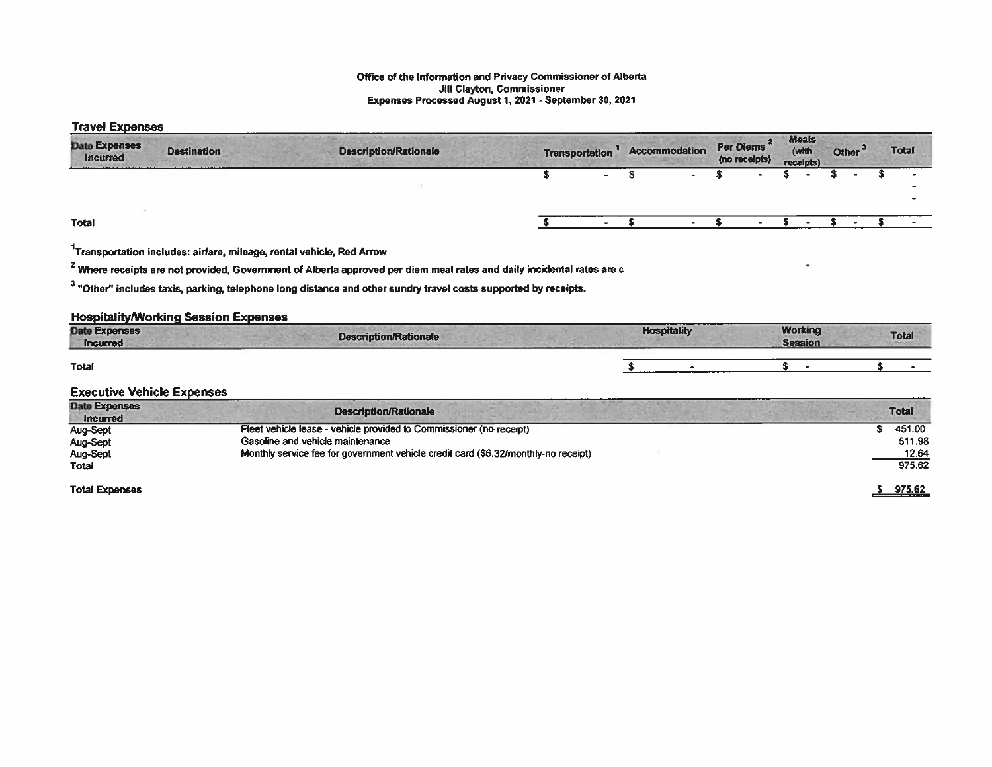## Office of the Information and Privacy Commissioner of Alberta Jill Clayton, Commissioner Expenses Processed August 1, 2021 -September 30, 2021

## Travel Expenses

| <b>Date Expenses</b><br>Incurred | <b>Destination</b> | <b>Description/Rationale</b> | <b>Transportation</b> | <b>Accommodation</b> | Per Diems <sup>2</sup><br>(no receipts) | <b>Meals</b><br>(with<br>receipts) | Other <sup>'</sup> |  | ______<br><b>Total</b> |
|----------------------------------|--------------------|------------------------------|-----------------------|----------------------|-----------------------------------------|------------------------------------|--------------------|--|------------------------|
|                                  |                    |                              |                       |                      |                                         |                                    |                    |  |                        |
| <b>Total</b>                     |                    |                              |                       |                      |                                         |                                    |                    |  |                        |

1Transportation includes: airfare, mileage, rental vehicle, Red Arrow

<sup>2</sup> Where receipts are not provided, Government of Alberta approved per diem meal rates and daily incidental rates are c

<sup>3</sup> "Other" includes taxis, parking, telephone long distance and other sundry travel costs supported by receipts.

## Hospitality/Working Session Expenses

| <b>Date Expenses</b><br><b>Incurred</b> | Description/Rationale | ----<br><b>Hospitality</b> | Working<br><b>Session</b> | <b>Total</b> |
|-----------------------------------------|-----------------------|----------------------------|---------------------------|--------------|
| Total                                   |                       |                            |                           |              |

## Executive Vehicle Expenses

| <b>Date Expenses</b><br><b>Incurred</b> | <b>Description/Rationale</b>                                                       | <b>Total</b> |
|-----------------------------------------|------------------------------------------------------------------------------------|--------------|
| Aug-Sept                                | Fleet vehicle lease - vehicle provided to Commissioner (no receipt)                | 451.00       |
| Aug-Sept                                | Gasoline and vehicle maintenance                                                   | 511.98       |
| Aug-Sept                                | Monthly service fee for government vehicle credit card (\$6.32/monthly-no receipt) | 12.64        |
| Total                                   |                                                                                    | 975.62       |
|                                         |                                                                                    |              |
| <b>Total Expenses</b>                   |                                                                                    | 975.62       |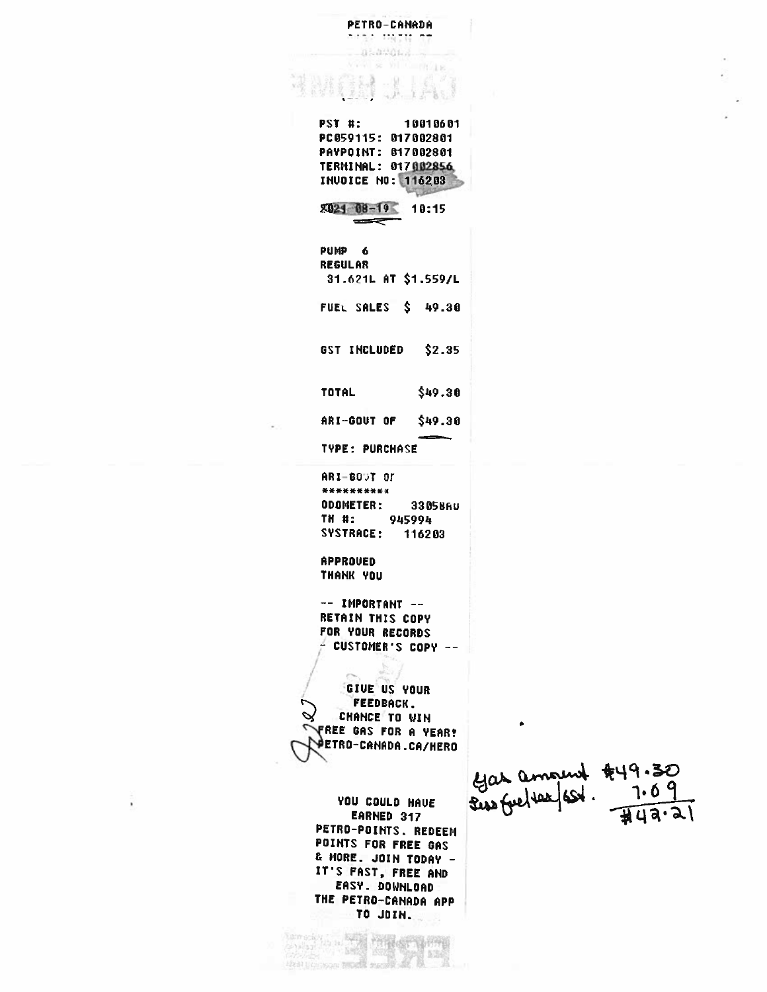PETRO-CANADA the most on alaward. **CROLL PST #:** 10010601 PC059115: 017002801 PAYPOINT: 017002801 TERMINAL: 017002856 **INUDICE NO: 116203** 8021 08-19 10:15  $\equiv$ PUMP<sub>6</sub> **REGULAR** 31.621L AT \$1.559/L FUEL SALES \$ 49.30 GST INCLUDED  $$2.35$ **TOTAL**  $$49.30$ ARI-GOUT OF \$49.30 **TYPE: PURCHASE ARI-600T OF** \*\*\*\*\*\*\*\*\*\* ODOMETER: 33058AU TH<sub>#:</sub> 945994 **SYSTRACE:** 116203 **APPROVED** THANK YOU -- IMPORTANT --**RETAIN THIS COPY** FOR YOUR RECORDS - CUSTOMER'S COPY --GIVE US YOUR **FEEDBACK.** CHANCE TO WIN **FREE GAS FOR A VEAR!** PETRO-CANADA.CA/HERO YOU COULD HAVE EARNED 317 PETRO-POINTS. REDEEM POINTS FOR FREE GAS & MORE. JOIN TODAY -IT'S FAST, FREE AND EASY. DOWNLOAD

THE PETRO-CANADA APP TO JOIN.

**S** 

**Allegation Company Property Property** 

steat to compass twoch manufacture

ÿ

Gas amount \$49.30  $\sqrt{44a.21}$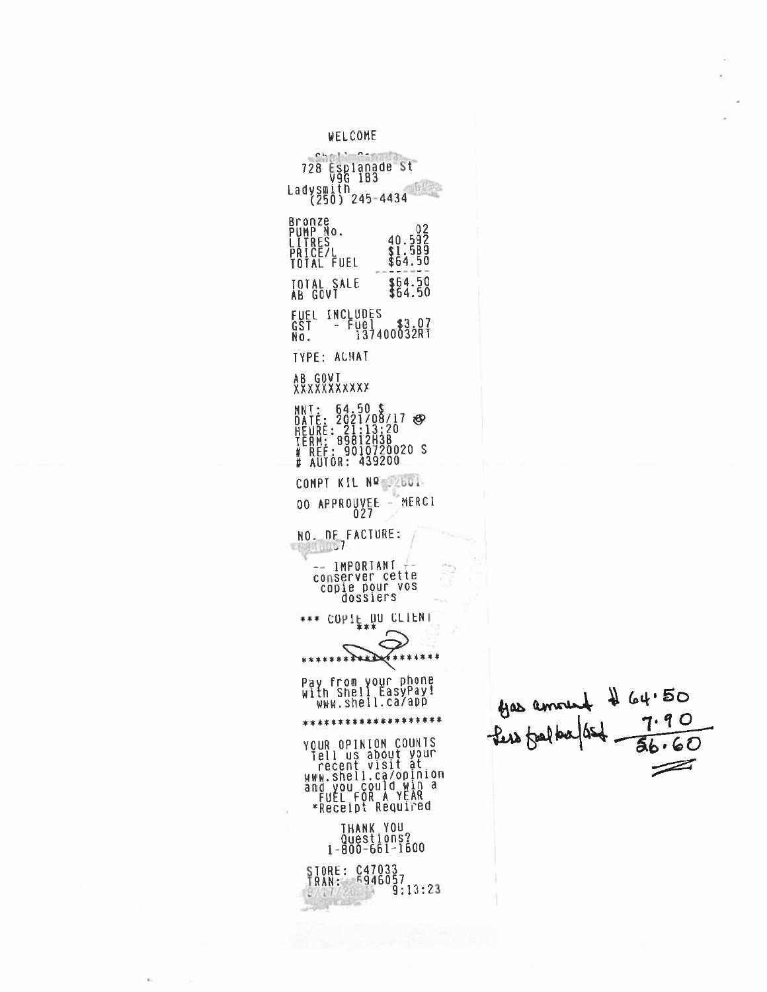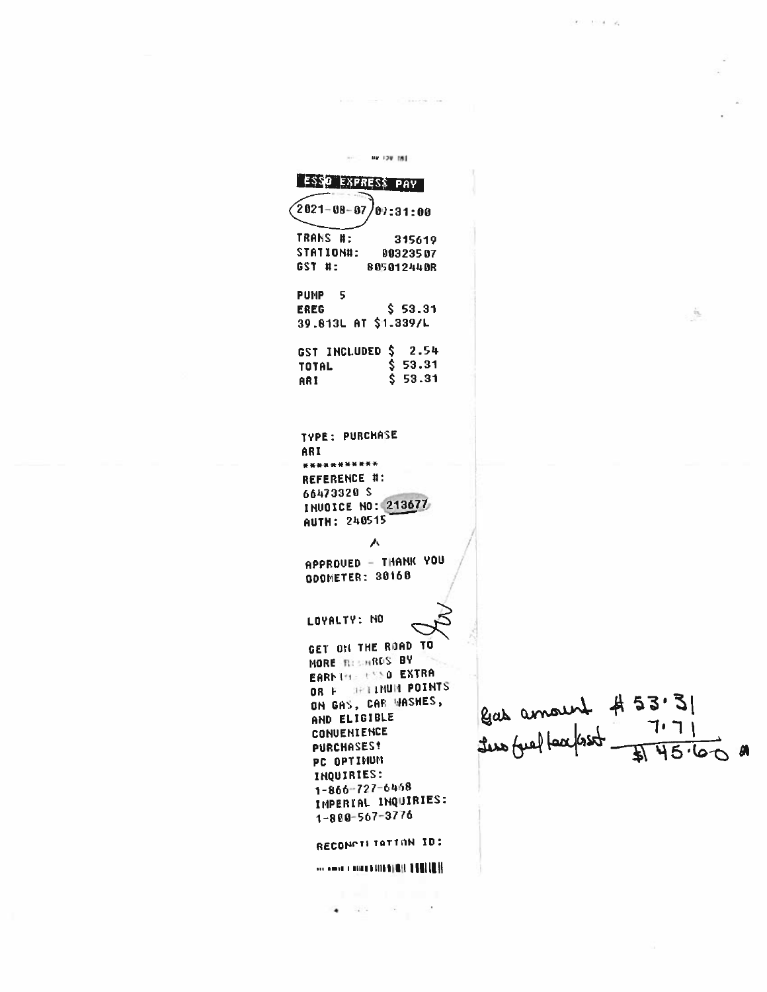$\dot{M}$  of He 120 IBI **ESSO EXPRESS PAY**  $\sqrt{2021 - 08 - 07}$  $99:31:00$ TRANS #: 315619 STATION#: 00323507 GST #: 805012440R PUMP<sub>5</sub>  $$53.31$ **EREG** ò. 39.813L AT \$1.339/L GST INCLUDED \$ 2.54  $$53.31$ **TOTAL**  $$53.31$ ARI TYPE: PURCHASE ARI \*\*\*\*\*\*\*\*\*\*\* REFERENCE #: 66473320 S INUOICE NO: 213677 AUTH: 240515 人 APPROUED - THANK YOU GOOMETER: 30168 LOYALTY: NO GET ON THE ROAD TO MORE RESINRES BY EARNING CASO EXTRA OR F SHIINUM POINTS  $\begin{array}{|l|l|l|} \hline \text{g} _{\text{ab}} & \text{annou} _{\text{ab}} & \# 53.3 | \\ \hline \text{f} _{\text{ab}} & \text{if} _{\text{ab}} & \text{if} _{\text{ab}} \\ \hline \text{f} _{\text{ab}} & \text{if} _{\text{ab}} & \text{if} _{\text{ab}} \\ \hline \end{array}$ ON GAS, CAR WASHES, AND ELIGIBLE CONVENIENCE **PURCHASES!** PC OPTIMUM INQUIRIES:  $1 - 866 - 727 - 6468$ IMPERIAL INQUIRIES:  $1 - 880 - 567 - 3776$ RECONCILITATION ID: **Seconds Charles and State 1980 In H**  $\bullet$  and the set of  $\bullet$ 

control of the control con-

 $\label{eq:2.1} \begin{array}{cccccccccc} \mathcal{R} & \mathcal{R} & \mathcal{R} & \mathcal{R} & \mathcal{R} & \mathcal{R} \end{array}$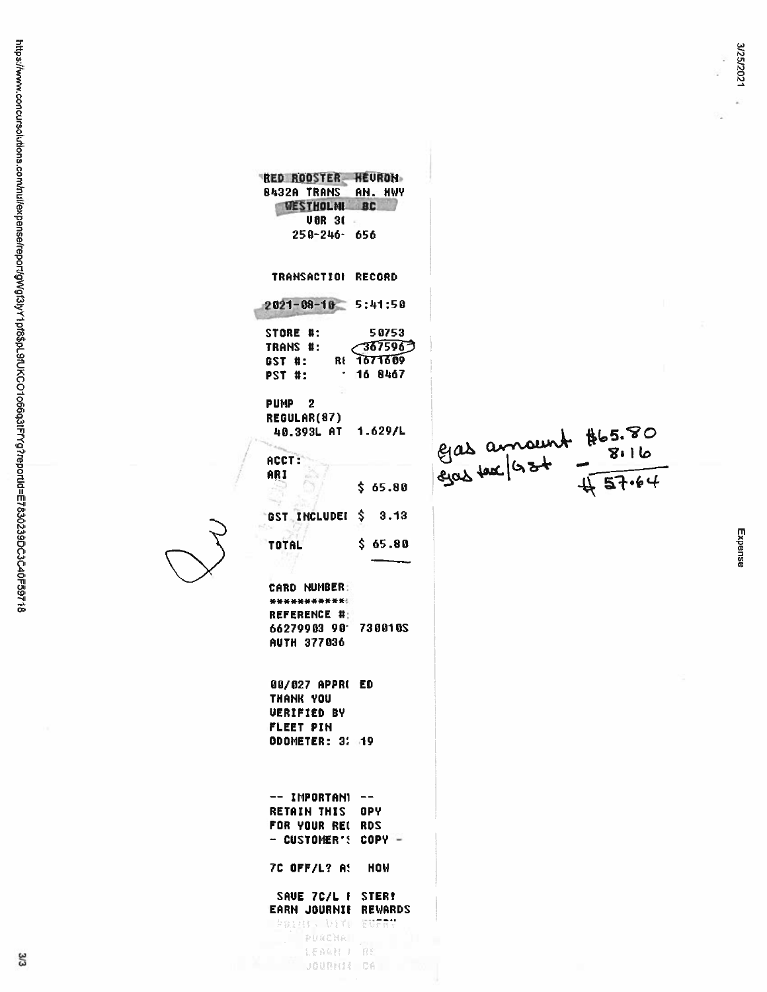Expense

| <b>RED ROOSTER HEURON</b>           |                                        |
|-------------------------------------|----------------------------------------|
| <b>8432A TRANS</b><br>AN. HWY       |                                        |
| <b>WESTHOLME BC</b>                 |                                        |
| <b>UBR 30</b>                       |                                        |
| $250 - 246 - 656$                   |                                        |
|                                     |                                        |
| <b>TRANSACTION</b><br><b>RECORD</b> |                                        |
|                                     |                                        |
| $2021 - 08 - 10$ 5:41:50            |                                        |
| STORE #:<br>50753                   |                                        |
| $\sim$ 3675963<br>TRANS #:          |                                        |
| GST #: RE 1671609                   |                                        |
| $-168467$<br>PST #:                 |                                        |
|                                     |                                        |
| PUMP <sub>2</sub>                   |                                        |
| <b>REGULAR(87)</b>                  |                                        |
| 40.393L AT 1.629/L                  |                                        |
|                                     | Eas amount #65.80<br>Eas amount #65.80 |
| ACCT:                               |                                        |
| ARI                                 |                                        |
| \$ 65.80                            |                                        |
|                                     |                                        |
| GST INCLUDEI \$ 3.13                |                                        |
|                                     |                                        |
| \$65.80<br><b>TOTAL</b>             |                                        |
|                                     |                                        |
|                                     |                                        |
| <b>CARD NUMBER:</b>                 |                                        |
| ************                        |                                        |
| REFERENCE #:                        |                                        |
| 66279903 90 730010S                 |                                        |
| AUTH 377036                         |                                        |
|                                     |                                        |
|                                     |                                        |
| 00/027 APPR( ED                     |                                        |
| THANK YOU                           |                                        |
| <b>UERIFIED BY</b>                  |                                        |
| FLEET PIN                           |                                        |
| ODOMETER: 3: 19                     |                                        |
|                                     |                                        |
|                                     |                                        |
|                                     |                                        |
| $--$ IMPORTANI $--$                 |                                        |
| <b>RETAIN THIS OPY</b>              |                                        |
| FOR YOUR REL RDS                    |                                        |
| $-$ CUSTOMER'S COPY -               |                                        |
| 7C OFF/L? A! HOW                    |                                        |
|                                     |                                        |
| SAVE 7C/L F STER!                   |                                        |
| EARN JOURNIE REWARDS                |                                        |
| PRIMIN UITU EUFRY                   |                                        |
| $D = 116P$ Mass                     |                                        |

LEARN I RE<br>JOURNIE CA

 $\overline{\zeta}$ 

3/3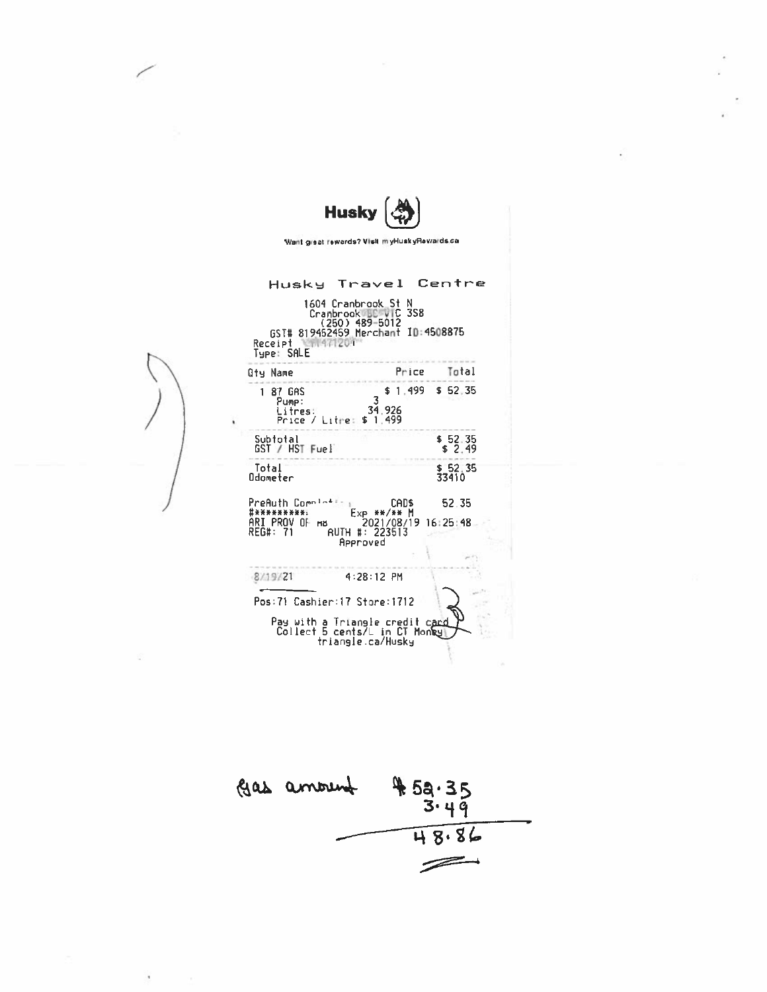| Husky                                                                      |                                                                                                                                                 |                     |  |  |  |  |
|----------------------------------------------------------------------------|-------------------------------------------------------------------------------------------------------------------------------------------------|---------------------|--|--|--|--|
| Want great rewards? Visit myHuskyRewards.ca                                |                                                                                                                                                 |                     |  |  |  |  |
| Receipt NSM471201<br>Tupe: SALE                                            | Husky Travel Centre<br>1604 Cranbrook S <u>t</u><br>N<br>Cranbrook DC VIC<br><b>3S8</b><br>(250) 489-5012<br>GST# 819452459 Merchant ID:4508875 |                     |  |  |  |  |
| <b>Qty Name</b>                                                            | Price                                                                                                                                           | Total               |  |  |  |  |
| 1 87 GAS<br>Pump:<br>Litres<br>Price / Litre:                              | 34.926<br>\$1.499                                                                                                                               | $$1.499$ \$ 52.35   |  |  |  |  |
| Subtotal<br>GST / HST Fuel                                                 |                                                                                                                                                 | $$52.35$<br>$$2.49$ |  |  |  |  |
| Total<br>Odometer                                                          |                                                                                                                                                 | \$52.35<br>33410    |  |  |  |  |
| PreAuth Completion<br>***********<br>ari prov of<br>HB.<br><b>REG#: 71</b> | <b>CADS</b><br>Exp **/** M<br>2021/08/19 16:25:48<br><b>AUTH #: 223513</b><br>Approved                                                          | 52.35               |  |  |  |  |
| 8/19/21                                                                    | $4:28:12$ PM                                                                                                                                    |                     |  |  |  |  |
|                                                                            | Pos:71 Cashier:17 Store:1712                                                                                                                    |                     |  |  |  |  |
|                                                                            | Pay with a Triangle credit card<br>Collect 5 cents/L in CT Monky<br>triangle.ca/Husky                                                           |                     |  |  |  |  |

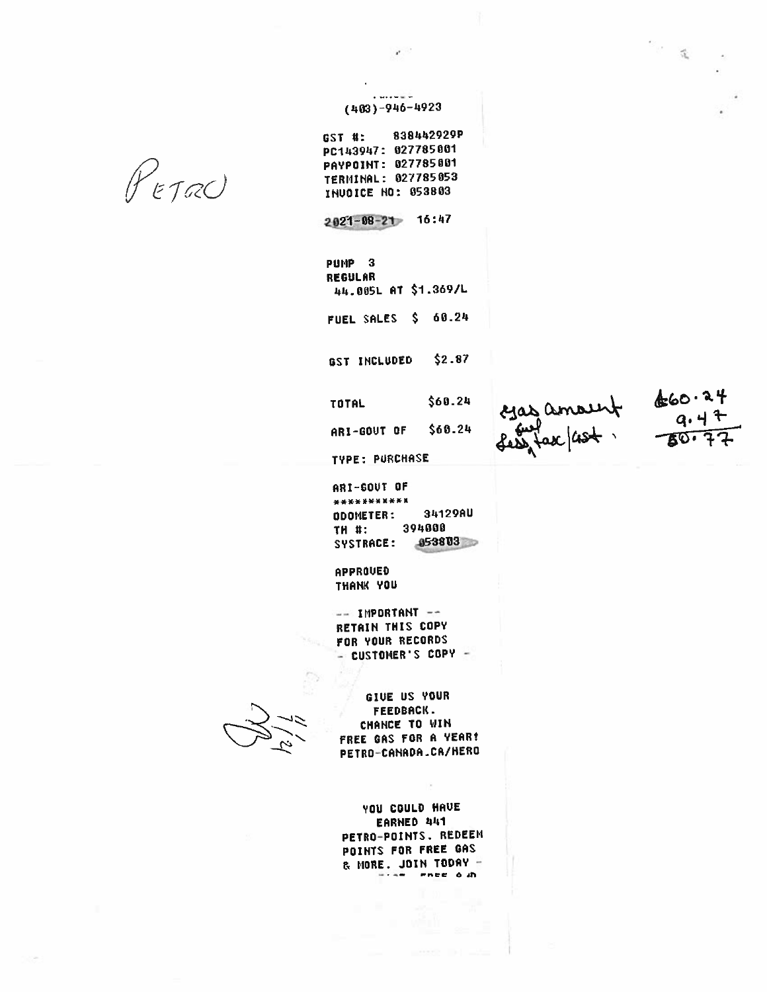PETRO

 $(403)-946-4923$ 

 $\mathbf{r}$ 

GST #: 838442929P PC143947: 027785001 PAYPOINT: 027785001 TERMINAL: 027785053 INUDICE NO: 053803

 $2021 - 08 - 21$  16:47

PUMP<sub>3</sub> **REGULAR** 44.085L AT \$1.369/L FUEL SALES \$ 60.24

GST INCLUDED  $$2.87$ 

\$60.24 **TOTAL** ARI-GOUT OF \$68.24

 $\frac{24}{300}$  amount  $\frac{660.24}{9.47}$ 

 $\mathbb{R}^{\mathbb{Z}^2}$  .

**TYPE: PURCHASE** 

ARI-GOUT OF \*\*\*\*\*\*\*\*\*\*\*\* 34129AU ODOMETER: 394000 **TH #:** 853803 SYSTRACE:

APPROUED THANK YOU

-- IMPORTANT --RETAIN THIS COPY FOR YOUR RECORDS - CUSTOMER'S COPY -

GIVE US YOUR **FEEDBACK.** CHANCE TO WIN FREE GAS FOR A YEAR! PETRO-CANADA.CA/HERO

**YOU COULD HAVE** EARNED 441 PETRO-POINTS. REDEEM POINTS FOR FREE GAS & MORE. JOIN TODAY -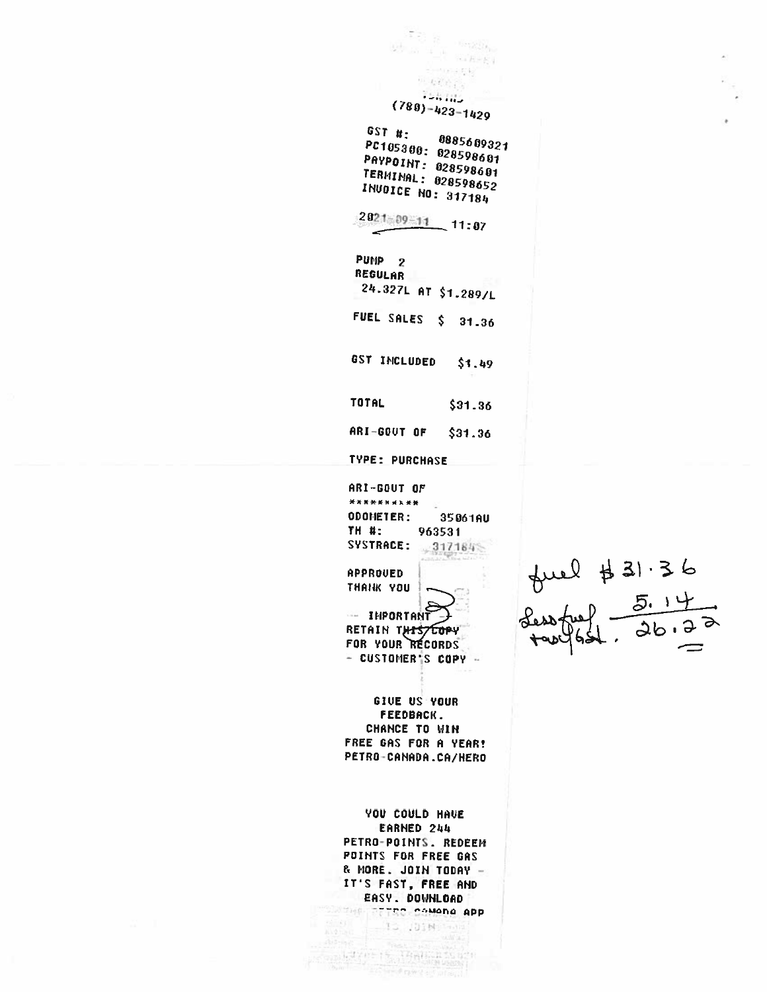학정 원  $\frac{1}{2} \frac{1}{2} \left( \frac{1}{2} \right) \left( \frac{1}{2} \right) \left( \frac{1}{2} \right)$  and  $R=R$  (  $\gamma(r)\neq\gamma(r)$  $\sim 67\,c_{1.5}$ Toking  $(780) - 423 - 1429$  $GST_H$ : 0885609321 PC105300: 028598601 PAYPOINT: 028598601 **TERHINAL: 028598652 INUOICE NO: 317184**  $2021 - 09 = 11$  11:07 PUMP<sub>2</sub> REGULAR 24.327L AT \$1.289/L FUEL SALES \$ 31.36 GST INCLUDED  $$1.49$ TOTAL  $$31.36$ ARI-GOUT OF  $$31.36$ TYPE: PURCHASE ARI-GOUT OF \*\*\*\*\*\*\*\*\*\* ODOMETER: 35061AU TH #: 963531 SYSTRACE:  $-3171848$ **APPROVED** THANK YOU -- INPORTANT RETAIN THISTEOPY FOR YOUR RECORDS - CUSTOMER'S COPY -GIVE US YOUR FEEDBACK. **CHANCE TO WIN** FREE GAS FOR A YEAR! PETRO-CANADA.CA/HERO **YOU COULD HAVE** EARNED 244 PETRO-POINTS. REDEEM POINTS FOR FREE GAS & MORE. JOIN TODAY -IT'S FAST, FREE AND EASY. DOWNLOAD ME TERC COMADA APP  $-15.101M/\mathrm{km}$ 

 $\left\|\mathcal{A}^{\mathcal{A}}\right\|_{\mathcal{L}}^{\mathcal{A}}\leq\left\|\mathcal{A}_{\mathcal{A}}\right\|_{\mathcal{L}}^{\mathcal{A}}\left\|\mathcal{A}_{\mathcal{B}}\right\|_{\mathcal{L}}^{\mathcal{A}}\left\|\mathcal{A}_{\mathcal{B}}\right\|_{\mathcal{L}}^{\mathcal{A}}\left\|\mathcal{A}_{\mathcal{B}}\right\|_{\mathcal{L}}^{\mathcal{A}}$  $-979921$ 

 $f(\mu) = \frac{1}{2}$ <br> $f(\mu) = \frac{5.14}{2}$  $\frac{1}{26.72}$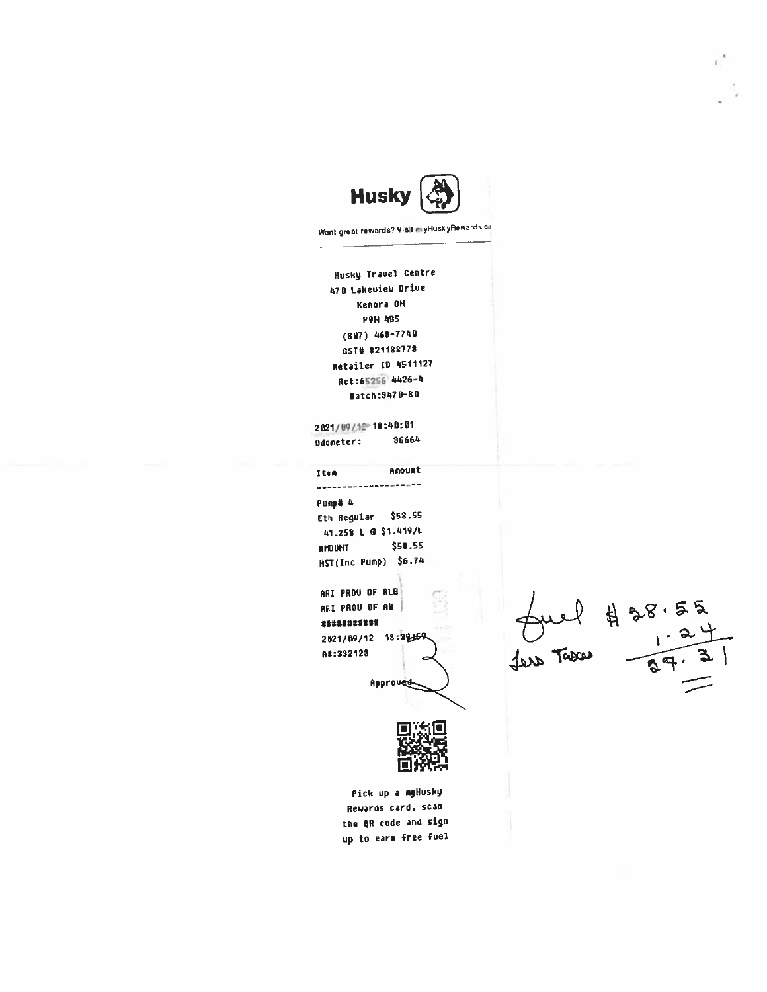

Want great rewords? Visit myHuskyRewards.ca

Husky Travel Centre 470 Lakeuiew Drive Kenora ON **P9N 485**  $(887)$  468-7748 GST# 821188778 Retailer ID 4511127 Rct:65256 4426-4 Batch: 3478-80

2821/89/12 18:48:01 36664 Odometer:

Anount Iten --------------------Pump# 4 \$58.55 Eth Regular 41.258 L @ \$1.419/L \$58.55 **THUUNT** HST(Inc Pump) \$6.74

ARI PROU OF ALB ARI PROU OF AB \*\*\*\*\*\*\*\*\*\*\* 2821/89/12 18:39

A#:332123

Approved

 $\n *four*   
\n 458.55  
\n *ix*   
\n 1.24  
\n 1.24  
\n 1.24$ 



Pick up a myHusky Rewards card, scan the QR code and sign up to earn free fuel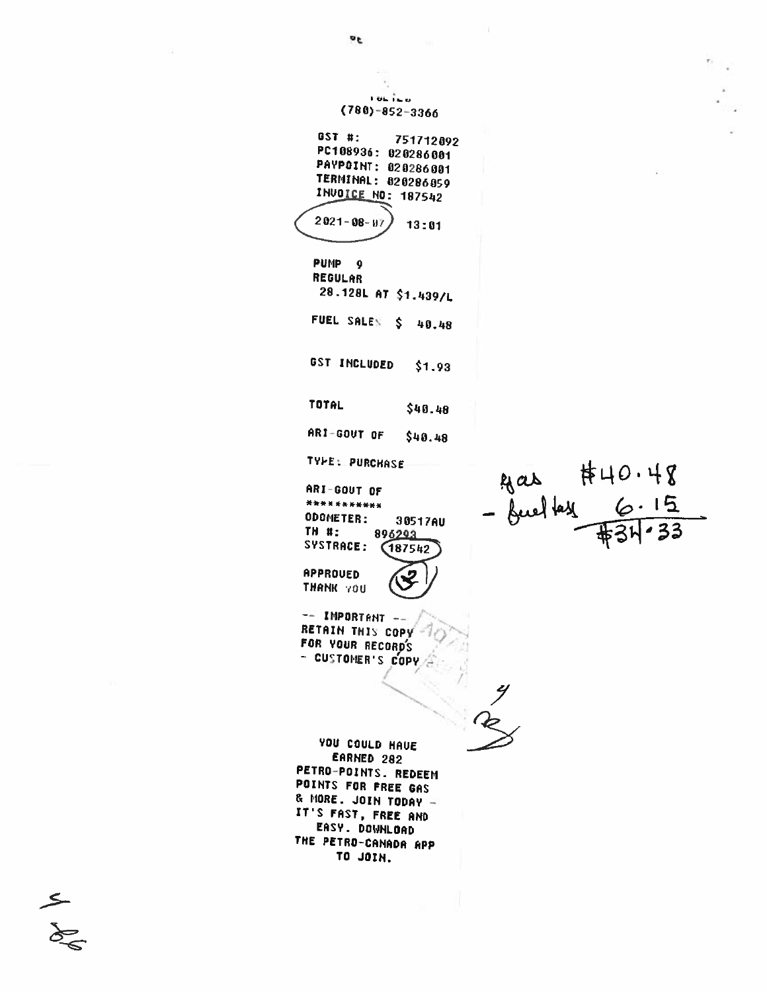**TOL**TED  $(780) - 852 - 3366$ GST #: 751712092 PC108936: 020286001 PAYPOINT: 020286001 TERMINAL: 020286059 **INVOICE NO: 187542**  $2021 - 08 - 97$  $13:01$ PUMP<sub>9</sub> REGULAR 28.128L AT \$1.439/L FUEL SALES \$ 40.48 GST INCLUDED  $$1.93$ TOTAL \$40.48 ARI-GOUT OF  $$40.48$ **TYPE: PURCHASE**  $40.48$  - Juel lay 6.15 ARI-GOUT OF \*\*\*\*\*\*\*\*\*\*\* ODOMETER: 30517AU TH #: 896293 SYSTRACE: 187542 APPROUED THANK YOU  $-$  IMPORTANT  $-$ RETAIN THIS COPY FOR YOUR RECORD'S - CUSTOMER'S COPY YOU COULD HAVE EARNED 282 PETRO-POINTS. REDEEM POINTS FOR FREE GAS & MORE. JOIN TODAY IT'S FAST, FREE AND EASY. DOWNLOAD THE PETRO-CANADA APP TO JOIN.

 $\frac{2}{3}$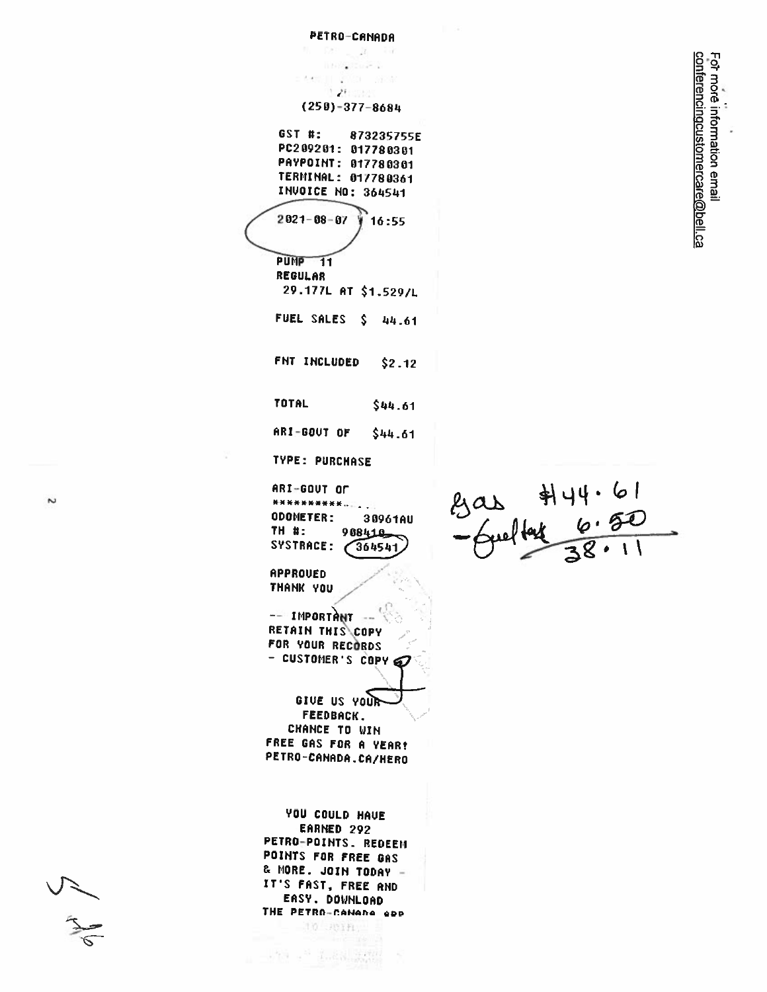PETRO-CANADA  $\overline{\phantom{a}}$  $-1$  $10 - 10$ [ ] [ ] [ ] [ ] [ ]  $1.2$ tster  $(250) - 377 - 8684$ GST #: 873235755E PC209201: 017780301 PAYPOINT: 017780301 TERMINAL: 017780361 INVOICE NO: 364541  $2021 - 08 - 07$  $16:55$ PUMP<sub>11</sub> REGULAR 29.177L AT \$1.529/L FUEL SALES \$ 44.61 FNT INCLUDED  $$2.12$ **TOTAL** \$44.61 ARI-GOUT OF \$44.61 **TYPE: PURCHASE** gas #14.61<br>-Gueltat 6.50 ARI-GOUT OF \*\*\*\*\*\*\*\*\*\*. **ODOMETER:** 30961AU TH #: 988410 SYSTRACE:  $\bigg(364541$ APPROUED THANK YOU -- IMPORTANT RETAIN THIS COPY FOR YOUR RECORDS - CUSTOMER'S COPY GIVE US YOUR **FEEDBACK. CHANCE TO WIN** FREE GAS FOR A VEAR! PETRO-CANADA.CA/HERO YOU COULD HAVE EARNED 292 PETRO-POINTS. REDEEM POINTS FOR FREE GAS & MORE. JOIN TODAY -IT'S FAST, FREE AND EASY. DOWNLOAD THE PETRO-CANADA ADD 10 JUIN.

 $\label{eq:4} \begin{array}{ll} \mathcal{N}(\mathcal{A}) = \mathcal{N}^{\mathcal{M}} & \mathcal{L}_{\mathcal{M}}(\mathcal{A}) = \mathcal{L}_{\mathcal{M}}(\mathcal{A}) \mathcal{L}_{\mathcal{M}}(\mathcal{A}) \end{array}$ 

Fot more information email<br><u>conferencingcustomercare@bell.ca</u>

 $\sim$